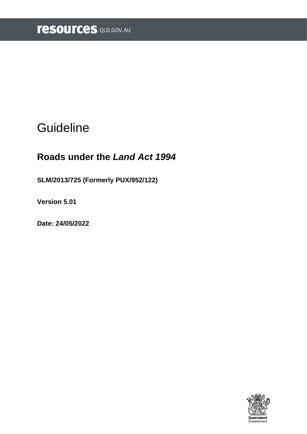# **Guideline**

# **Roads under the** *Land Act 1994*

**SLM/2013/725 (Formerly PUX/952/122)**

**Version 5.01**

**Date: 24/05/2022**

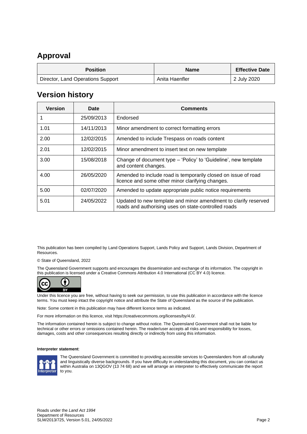## <span id="page-1-0"></span>**Approval**

| <b>Position</b>                   | <b>Name</b>    | <b>Effective Date</b> |
|-----------------------------------|----------------|-----------------------|
| Director, Land Operations Support | Anita Haenfler | 2 July 2020           |

### <span id="page-1-1"></span>**Version history**

| <b>Version</b> | Date       | <b>Comments</b>                                                                                                         |
|----------------|------------|-------------------------------------------------------------------------------------------------------------------------|
|                | 25/09/2013 | Endorsed                                                                                                                |
| 1.01           | 14/11/2013 | Minor amendment to correct formatting errors                                                                            |
| 2.00           | 12/02/2015 | Amended to include Trespass on roads content                                                                            |
| 2.01           | 12/02/2015 | Minor amendment to insert text on new template                                                                          |
| 3.00           | 15/08/2018 | Change of document type – 'Policy' to 'Guideline', new template<br>and content changes.                                 |
| 4.00           | 26/05/2020 | Amended to include road is temporarily closed on issue of road<br>licence and some other minor clarifying changes.      |
| 5.00           | 02/07/2020 | Amended to update appropriate public notice requirements                                                                |
| 5.01           | 24/05/2022 | Updated to new template and minor amendment to clarify reserved<br>roads and authorising uses on state-controlled roads |

This publication has been compiled by Land Operations Support, Lands Policy and Support, Lands Division, Department of **Resources** 

© State of Queensland, 2022

The Queensland Government supports and encourages the dissemination and exchange of its information. The copyright in this publication is licensed under a Creative Commons Attribution 4.0 International (CC BY 4.0) licence.



Under this licence you are free, without having to seek our permission, to use this publication in accordance with the licence terms. You must keep intact the copyright notice and attribute the State of Queensland as the source of the publication.

Note: Some content in this publication may have different licence terms as indicated.

For more information on this licence, visit https://creativecommons.org/licenses/by/4.0/.

The information contained herein is subject to change without notice. The Queensland Government shall not be liable for technical or other errors or omissions contained herein. The reader/user accepts all risks and responsibility for losses, damages, costs and other consequences resulting directly or indirectly from using this information.

#### **Interpreter statement**:



The Queensland Government is committed to providing accessible services to Queenslanders from all culturally and linguistically diverse backgrounds. If you have difficulty in understanding this document, you can contact us within Australia on 13QGOV (13 74 68) and we will arrange an interpreter to effectively communicate the report to you.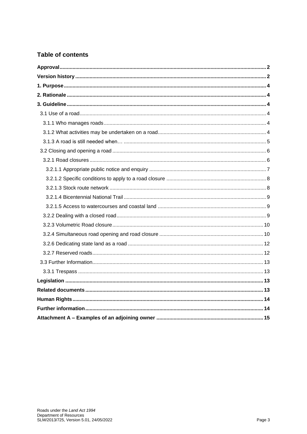### **Table of contents**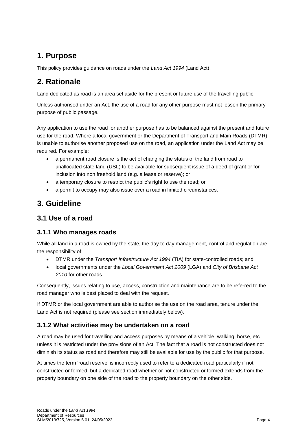# <span id="page-3-0"></span>**1. Purpose**

This policy provides guidance on roads under the *Land Act 1994* (Land Act).

# <span id="page-3-1"></span>**2. Rationale**

Land dedicated as road is an area set aside for the present or future use of the travelling public.

Unless authorised under an Act, the use of a road for any other purpose must not lessen the primary purpose of public passage.

Any application to use the road for another purpose has to be balanced against the present and future use for the road. Where a local government or the Department of Transport and Main Roads (DTMR) is unable to authorise another proposed use on the road, an application under the Land Act may be required. For example:

- a permanent road closure is the act of changing the status of the land from road to unallocated state land (USL) to be available for subsequent issue of a deed of grant or for inclusion into non freehold land (e.g. a lease or reserve); or
- a temporary closure to restrict the public's right to use the road; or
- a permit to occupy may also issue over a road in limited circumstances.

## <span id="page-3-2"></span>**3. Guideline**

### <span id="page-3-3"></span>**3.1 Use of a road**

### <span id="page-3-4"></span>**3.1.1 Who manages roads**

While all land in a road is owned by the state, the day to day management, control and regulation are the responsibility of:

- DTMR under the *Transport Infrastructure Act 1994* (TIA) for state-controlled roads; and
- local governments under the *Local Government Act 2009* (LGA) and *City of Brisbane Act 2010* for other roads.

Consequently, issues relating to use, access, construction and maintenance are to be referred to the road manager who is best placed to deal with the request.

If DTMR or the local government are able to authorise the use on the road area, tenure under the Land Act is not required (please see section immediately below).

### <span id="page-3-5"></span>**3.1.2 What activities may be undertaken on a road**

A road may be used for travelling and access purposes by means of a vehicle, walking, horse, etc. unless it is restricted under the provisions of an Act. The fact that a road is not constructed does not diminish its status as road and therefore may still be available for use by the public for that purpose.

At times the term 'road reserve' is incorrectly used to refer to a dedicated road particularly if not constructed or formed, but a dedicated road whether or not constructed or formed extends from the property boundary on one side of the road to the property boundary on the other side.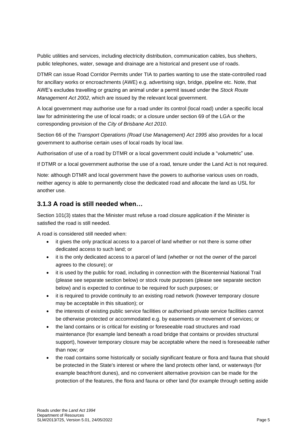Public utilities and services, including electricity distribution, communication cables, bus shelters, public telephones, water, sewage and drainage are a historical and present use of roads.

DTMR can issue Road Corridor Permits under TIA to parties wanting to use the state-controlled road for ancillary works or encroachments (AWE) e.g. advertising sign, bridge, pipeline etc. Note, that AWE's excludes travelling or grazing an animal under a permit issued under the *Stock Route Management Act 2002*, which are issued by the relevant local government.

A local government may authorise use for a road under its control (local road) under a specific local law for administering the use of local roads; or a closure under section 69 of the LGA or the corresponding provision of the *City of Brisbane Act 2010*.

Section 66 of the *Transport Operations (Road Use Management) Act 1995* also provides for a local government to authorise certain uses of local roads by local law.

Authorisation of use of a road by DTMR or a local government could include a "volumetric" use.

If DTMR or a local government authorise the use of a road, tenure under the Land Act is not required.

Note: although DTMR and local government have the powers to authorise various uses on roads, neither agency is able to permanently close the dedicated road and allocate the land as USL for another use.

### <span id="page-4-0"></span>**3.1.3 A road is still needed when…**

Section 101(3) states that the Minister must refuse a road closure application if the Minister is satisfied the road is still needed.

A road is considered still needed when:

- it gives the only practical access to a parcel of land whether or not there is some other dedicated access to such land; or
- it is the only dedicated access to a parcel of land (whether or not the owner of the parcel agrees to the closure); or
- it is used by the public for road, including in connection with the Bicentennial National Trail (please see separate section below) or stock route purposes (please see separate section below) and is expected to continue to be required for such purposes; or
- it is required to provide continuity to an existing road network (however temporary closure may be acceptable in this situation); or
- the interests of existing public service facilities or authorised private service facilities cannot be otherwise protected or accommodated e.g. by easements or movement of services; or
- the land contains or is critical for existing or foreseeable road structures and road maintenance (for example land beneath a road bridge that contains or provides structural support), however temporary closure may be acceptable where the need is foreseeable rather than now; or
- the road contains some historically or socially significant feature or flora and fauna that should be protected in the State's interest or where the land protects other land, or waterways (for example beachfront dunes), and no convenient alternative provision can be made for the protection of the features, the flora and fauna or other land (for example through setting aside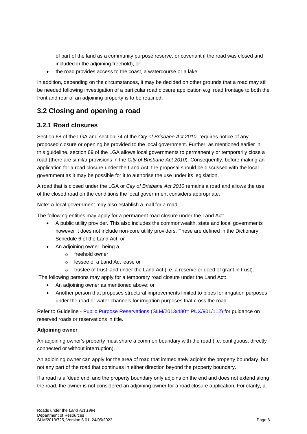of part of the land as a community purpose reserve, or covenant if the road was closed and included in the adjoining freehold), or

• the road provides access to the coast, a watercourse or a lake.

In addition, depending on the circumstances, it may be decided on other grounds that a road may still be needed following investigation of a particular road closure application e.g. road frontage to both the front and rear of an adjoining property is to be retained.

### <span id="page-5-0"></span>**3.2 Closing and opening a road**

### <span id="page-5-1"></span>**3.2.1 Road closures**

Section 68 of the LGA and section 74 of the *City of Brisbane Act 2010*, requires notice of any proposed closure or opening be provided to the local government. Further, as mentioned earlier in this guideline, section 69 of the LGA allows local governments to permanently or temporarily close a road (there are similar provisions in the *City of Brisbane Act 2010*). Consequently, before making an application for a road closure under the Land Act, the proposal should be discussed with the local government as it may be possible for it to authorise the use under its legislation.

A road that is closed under the LGA or *City of Brisbane Act 2010* remains a road and allows the use of the closed road on the conditions the local government considers appropriate.

Note: A local government may also establish a mall for a road.

The following entities may apply for a permanent road closure under the Land Act:

- A public utility provider. This also includes the commonwealth, state and local governments however it does not include non-core utility providers. These are defined in the Dictionary, Schedule 6 of the Land Act, or
- An adjoining owner, being a
	- o freehold owner
	- o lessee of a Land Act lease or
	- $\circ$  trustee of trust land under the Land Act (i.e. a reserve or deed of grant in trust).

The following persons may apply for a temporary road closure under the Land Act:

- An adjoining owner as mentioned above; or
- Another person that proposes structural improvements limited to pipes for irrigation purposes under the road or water channels for irrigation purposes that cross the road.

Refer to Guideline - [Public Purpose Reservations \(SLM/2013/480= PUX/901/112\)](https://www.resources.qld.gov.au/?a=109113:policy_registry/public-purpose-reservations.pdf&ver=4.00) for guidance on reserved roads or reservations in title.

#### **Adjoining owner**

An adjoining owner's property must share a common boundary with the road (i.e. contiguous, directly connected or without interruption).

An adjoining owner can apply for the area of road that immediately adjoins the property boundary, but not any part of the road that continues in either direction beyond the property boundary.

If a road is a 'dead end' and the property boundary only adjoins on the end and does not extend along the road, the owner is not considered an adjoining owner for a road closure application. For clarity, a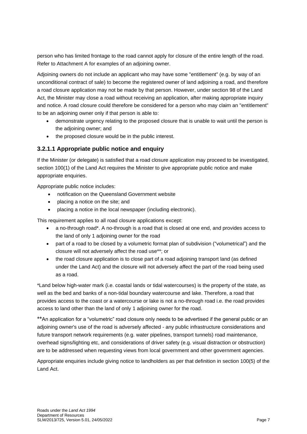person who has limited frontage to the road cannot apply for closure of the entire length of the road. Refer to Attachment A for examples of an adjoining owner.

Adjoining owners do not include an applicant who may have some "entitlement" (e.g. by way of an unconditional contract of sale) to become the registered owner of land adjoining a road, and therefore a road closure application may not be made by that person. However, under section 98 of the Land Act, the Minister may close a road without receiving an application, after making appropriate inquiry and notice. A road closure could therefore be considered for a person who may claim an "entitlement" to be an adjoining owner only if that person is able to:

- demonstrate urgency relating to the proposed closure that is unable to wait until the person is the adjoining owner; and
- the proposed closure would be in the public interest.

#### <span id="page-6-0"></span>**3.2.1.1 Appropriate public notice and enquiry**

If the Minister (or delegate) is satisfied that a road closure application may proceed to be investigated, section 100(1) of the Land Act requires the Minister to give appropriate public notice and make appropriate enquiries.

Appropriate public notice includes:

- notification on the Queensland Government website
- placing a notice on the site; and
- placing a notice in the local newspaper (including electronic).

This requirement applies to all road closure applications except:

- a no-through road\*. A no-through is a road that is closed at one end, and provides access to the land of only 1 adjoining owner for the road
- part of a road to be closed by a volumetric format plan of subdivision ("volumetrical") and the closure will not adversely affect the road use\*\*; or
- the road closure application is to close part of a road adjoining transport land (as defined under the Land Act) and the closure will not adversely affect the part of the road being used as a road.

\*Land below high-water mark (i.e. coastal lands or tidal watercourses) is the property of the state, as well as the bed and banks of a non-tidal boundary watercourse and lake. Therefore, a road that provides access to the coast or a watercourse or lake is not a no-through road i.e. the road provides access to land other than the land of only 1 adjoining owner for the road.

\*\*An application for a "volumetric" road closure only needs to be advertised if the general public or an adjoining owner's use of the road is adversely affected - any public infrastructure considerations and future transport network requirements (e.g. water pipelines, transport tunnels) road maintenance, overhead signs/lighting etc, and considerations of driver safety (e.g. visual distraction or obstruction) are to be addressed when requesting views from local government and other government agencies.

Appropriate enquiries include giving notice to landholders as per that definition in section 100(5) of the Land Act.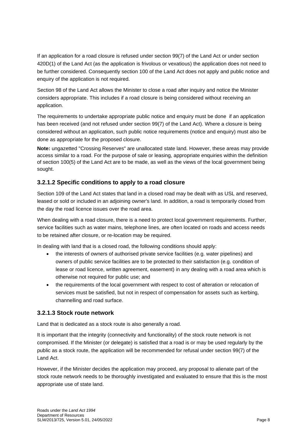If an application for a road closure is refused under section 99(7) of the Land Act or under section 420D(1) of the Land Act (as the application is frivolous or vexatious) the application does not need to be further considered. Consequently section 100 of the Land Act does not apply and public notice and enquiry of the application is not required.

Section 98 of the Land Act allows the Minister to close a road after inquiry and notice the Minister considers appropriate. This includes if a road closure is being considered without receiving an application.

The requirements to undertake appropriate public notice and enquiry must be done if an application has been received (and not refused under section 99(7) of the Land Act). Where a closure is being considered without an application, such public notice requirements (notice and enquiry) must also be done as appropriate for the proposed closure.

**Note:** ungazetted "Crossing Reserves" are unallocated state land. However, these areas may provide access similar to a road. For the purpose of sale or leasing, appropriate enquiries within the definition of section 100(5) of the Land Act are to be made, as well as the views of the local government being sought.

#### <span id="page-7-0"></span>**3.2.1.2 Specific conditions to apply to a road closure**

Section 109 of the Land Act states that land in a closed road may be dealt with as USL and reserved, leased or sold or included in an adjoining owner's land. In addition, a road is temporarily closed from the day the road licence issues over the road area.

When dealing with a road closure, there is a need to protect local government requirements. Further, service facilities such as water mains, telephone lines, are often located on roads and access needs to be retained after closure, or re-location may be required.

In dealing with land that is a closed road, the following conditions should apply:

- the interests of owners of authorised private service facilities (e.g. water pipelines) and owners of public service facilities are to be protected to their satisfaction (e.g. condition of lease or road licence, written agreement, easement) in any dealing with a road area which is otherwise not required for public use; and
- the requirements of the local government with respect to cost of alteration or relocation of services must be satisfied, but not in respect of compensation for assets such as kerbing, channelling and road surface.

#### <span id="page-7-1"></span>**3.2.1.3 Stock route network**

Land that is dedicated as a stock route is also generally a road.

It is important that the integrity (connectivity and functionality) of the stock route network is not compromised. If the Minister (or delegate) is satisfied that a road is or may be used regularly by the public as a stock route, the application will be recommended for refusal under section 99(7) of the Land Act.

However, if the Minister decides the application may proceed, any proposal to alienate part of the stock route network needs to be thoroughly investigated and evaluated to ensure that this is the most appropriate use of state land.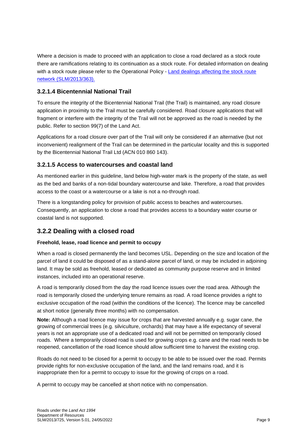Where a decision is made to proceed with an application to close a road declared as a stock route there are ramifications relating to its continuation as a stock route. For detailed information on dealing with a stock route please refer to the Operational Policy - Land dealings affecting the stock route [network \(SLM/2013/363\).](https://www.resources.qld.gov.au/?a=109113:policy_registry/land-dealings-affecting-the-stock-route-network.pdf&ver=6.00)

#### <span id="page-8-0"></span>**3.2.1.4 Bicentennial National Trail**

To ensure the integrity of the Bicentennial National Trail (the Trail) is maintained, any road closure application in proximity to the Trail must be carefully considered. Road closure applications that will fragment or interfere with the integrity of the Trail will not be approved as the road is needed by the public. Refer to section 99(7) of the Land Act.

Applications for a road closure over part of the Trail will only be considered if an alternative (but not inconvenient) realignment of the Trail can be determined in the particular locality and this is supported by the Bicentennial National Trail Ltd (ACN 010 860 143).

#### <span id="page-8-1"></span>**3.2.1.5 Access to watercourses and coastal land**

As mentioned earlier in this guideline, land below high-water mark is the property of the state, as well as the bed and banks of a non-tidal boundary watercourse and lake. Therefore, a road that provides access to the coast or a watercourse or a lake is not a no-through road.

There is a longstanding policy for provision of public access to beaches and watercourses. Consequently, an application to close a road that provides access to a boundary water course or coastal land is not supported.

### <span id="page-8-2"></span>**3.2.2 Dealing with a closed road**

#### **Freehold, lease, road licence and permit to occupy**

When a road is closed permanently the land becomes USL. Depending on the size and location of the parcel of land it could be disposed of as a stand-alone parcel of land, or may be included in adjoining land. It may be sold as freehold, leased or dedicated as community purpose reserve and in limited instances, included into an operational reserve.

A road is temporarily closed from the day the road licence issues over the road area. Although the road is temporarily closed the underlying tenure remains as road. A road licence provides a right to exclusive occupation of the road (within the conditions of the licence). The licence may be cancelled at short notice (generally three months) with no compensation.

**Note:** Although a road licence may issue for crops that are harvested annually e.g. sugar cane, the growing of commercial trees (e.g. silviculture, orchards) that may have a life expectancy of several years is not an appropriate use of a dedicated road and will not be permitted on temporarily closed roads. Where a temporarily closed road is used for growing crops e.g. cane and the road needs to be reopened, cancellation of the road licence should allow sufficient time to harvest the existing crop.

Roads do not need to be closed for a permit to occupy to be able to be issued over the road. Permits provide rights for non-exclusive occupation of the land, and the land remains road, and it is inappropriate then for a permit to occupy to issue for the growing of crops on a road.

A permit to occupy may be cancelled at short notice with no compensation.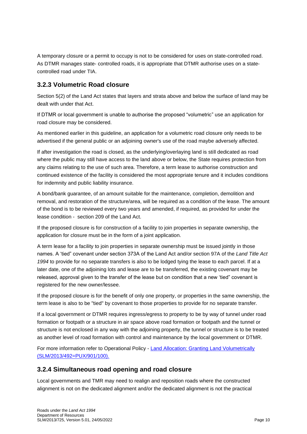A temporary closure or a permit to occupy is not to be considered for uses on state-controlled road. As DTMR manages state- controlled roads, it is appropriate that DTMR authorise uses on a statecontrolled road under TIA.

### <span id="page-9-0"></span>**3.2.3 Volumetric Road closure**

Section 5(2) of the Land Act states that layers and strata above and below the surface of land may be dealt with under that Act.

If DTMR or local government is unable to authorise the proposed "volumetric" use an application for road closure may be considered.

As mentioned earlier in this guideline, an application for a volumetric road closure only needs to be advertised if the general public or an adjoining owner's use of the road maybe adversely affected.

If after investigation the road is closed, as the underlying/overlaying land is still dedicated as road where the public may still have access to the land above or below, the State requires protection from any claims relating to the use of such area. Therefore, a term lease to authorise construction and continued existence of the facility is considered the most appropriate tenure and it includes conditions for indemnity and public liability insurance.

A bond/bank guarantee, of an amount suitable for the maintenance, completion, demolition and removal, and restoration of the structure/area, will be required as a condition of the lease. The amount of the bond is to be reviewed every two years and amended, if required, as provided for under the lease condition - section 209 of the Land Act.

If the proposed closure is for construction of a facility to join properties in separate ownership, the application for closure must be in the form of a joint application.

A term lease for a facility to join properties in separate ownership must be issued jointly in those names. A 'tied" covenant under section 373A of the Land Act and/or section 97A of the *Land Title Act 1994* to provide for no separate transfers is also to be lodged tying the lease to each parcel. If at a later date, one of the adjoining lots and lease are to be transferred, the existing covenant may be released, approval given to the transfer of the lease but on condition that a new 'tied" covenant is registered for the new owner/lessee.

If the proposed closure is for the benefit of only one property, or properties in the same ownership, the term lease is also to be "tied" by covenant to those properties to provide for no separate transfer.

If a local government or DTMR requires ingress/egress to property to be by way of tunnel under road formation or footpath or a structure in air space above road formation or footpath and the tunnel or structure is not enclosed in any way with the adjoining property, the tunnel or structure is to be treated as another level of road formation with control and maintenance by the local government or DTMR.

For more information refer to Operational Policy - [Land Allocation: Granting Land Volumetrically](https://www.resources.qld.gov.au/?a=109113:policy_registry/granting-land-volumetrically.pdf&ver=2.05)  [\(SLM/2013/492=PUX/901/100\).](https://www.resources.qld.gov.au/?a=109113:policy_registry/granting-land-volumetrically.pdf&ver=2.05)

#### <span id="page-9-1"></span>**3.2.4 Simultaneous road opening and road closure**

Local governments and TMR may need to realign and reposition roads where the constructed alignment is not on the dedicated alignment and/or the dedicated alignment is not the practical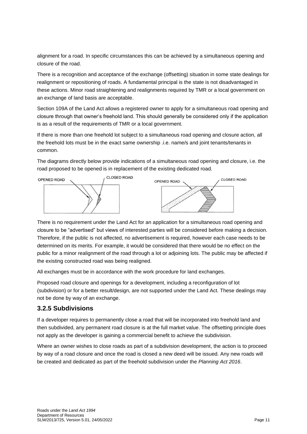alignment for a road. In specific circumstances this can be achieved by a simultaneous opening and closure of the road.

There is a recognition and acceptance of the exchange (offsetting) situation in some state dealings for realignment or repositioning of roads. A fundamental principal is the state is not disadvantaged in these actions. Minor road straightening and realignments required by TMR or a local government on an exchange of land basis are acceptable.

Section 109A of the Land Act allows a registered owner to apply for a simultaneous road opening and closure through that owner's freehold land. This should generally be considered only if the application is as a result of the requirements of TMR or a local government.

If there is more than one freehold lot subject to a simultaneous road opening and closure action, all the freehold lots must be in the exact same ownership .i.e. name/s and joint tenants/tenants in common.

The diagrams directly below provide indications of a simultaneous road opening and closure, i.e. the road proposed to be opened is in replacement of the existing dedicated road.



There is no requirement under the Land Act for an application for a simultaneous road opening and closure to be "advertised" but views of interested parties will be considered before making a decision. Therefore, if the public is not affected, no advertisement is required, however each case needs to be determined on its merits. For example, it would be considered that there would be no effect on the public for a minor realignment of the road through a lot or adjoining lots. The public may be affected if the existing constructed road was being realigned.

All exchanges must be in accordance with the work procedure for land exchanges.

Proposed road closure and openings for a development, including a reconfiguration of lot (subdivision) or for a better result/design, are not supported under the Land Act. These dealings may not be done by way of an exchange.

#### **3.2.5 Subdivisions**

If a developer requires to permanently close a road that will be incorporated into freehold land and then subdivided, any permanent road closure is at the full market value. The offsetting principle does not apply as the developer is gaining a commercial benefit to achieve the subdivision.

Where an owner wishes to close roads as part of a subdivision development, the action is to proceed by way of a road closure and once the road is closed a new deed will be issued. Any new roads will be created and dedicated as part of the freehold subdivision under the *Planning Act 2016*.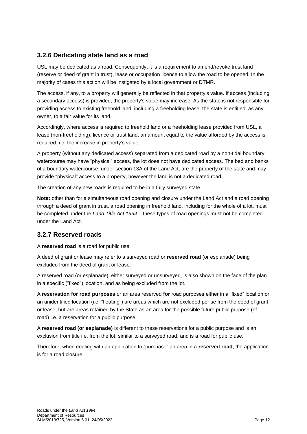### <span id="page-11-0"></span>**3.2.6 Dedicating state land as a road**

USL may be dedicated as a road. Consequently, it is a requirement to amend/revoke trust land (reserve or deed of grant in trust), lease or occupation licence to allow the road to be opened. In the majority of cases this action will be instigated by a local government or DTMR.

The access, if any, to a property will generally be reflected in that property's value. If access (including a secondary access) is provided, the property's value may increase. As the state is not responsible for providing access to existing freehold land, including a freeholding lease, the state is entitled, as any owner, to a fair value for its land.

Accordingly, where access is required to freehold land or a freeholding lease provided from USL, a lease (non-freeholding), licence or trust land, an amount equal to the value afforded by the access is required. i.e. the increase in property's value.

A property (without any dedicated access) separated from a dedicated road by a non-tidal boundary watercourse may have "physical" access, the lot does not have dedicated access. The bed and banks of a boundary watercourse, under section 13A of the Land Act, are the property of the state and may provide "physical" access to a property, however the land is not a dedicated road.

The creation of any new roads is required to be in a fully surveyed state.

**Note:** other than for a simultaneous road opening and closure under the Land Act and a road opening through a deed of grant in trust, a road opening in freehold land, including for the whole of a lot, must be completed under the *Land Title Act 1994* – these types of road openings must not be completed under the Land Act.

#### <span id="page-11-1"></span>**3.2.7 Reserved roads**

A **reserved road** is a road for public use.

A deed of grant or lease may refer to a surveyed road or **reserved road** (or esplanade) being excluded from the deed of grant or lease.

A reserved road (or esplanade), either surveyed or unsurveyed, is also shown on the face of the plan in a specific ("fixed") location, and as being excluded from the lot.

A **reservation for road purposes** or an area reserved **for** road purposes either in a "fixed" location or an unidentified location (i.e. "floating") are areas which are not excluded per se from the deed of grant or lease, but are areas retained by the State as an area for the possible future public purpose (of road) i.e. a reservation for a public purpose.

A **reserved road (or esplanade)** is different to these reservations for a public purpose and is an exclusion from title i.e. from the lot, similar to a surveyed road, and is a road for public use.

Therefore, when dealing with an application to "purchase" an area in a **reserved road**, the application is for a road closure.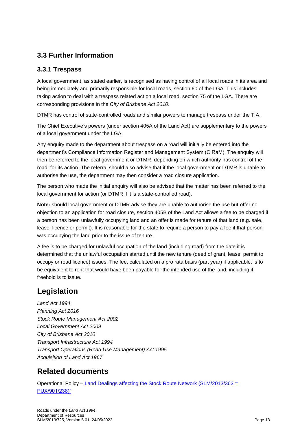### <span id="page-12-0"></span>**3.3 Further Information**

### <span id="page-12-1"></span>**3.3.1 Trespass**

A local government, as stated earlier, is recognised as having control of all local roads in its area and being immediately and primarily responsible for local roads, section 60 of the LGA. This includes taking action to deal with a trespass related act on a local road, section 75 of the LGA. There are corresponding provisions in the *City of Brisbane Act 2010*.

DTMR has control of state-controlled roads and similar powers to manage trespass under the TIA.

The Chief Executive's powers (under section 405A of the Land Act) are supplementary to the powers of a local government under the LGA.

Any enquiry made to the department about trespass on a road will initially be entered into the department's Compliance Information Register and Management System (CIRaM). The enquiry will then be referred to the local government or DTMR, depending on which authority has control of the road, for its action. The referral should also advise that if the local government or DTMR is unable to authorise the use, the department may then consider a road closure application.

The person who made the initial enquiry will also be advised that the matter has been referred to the local government for action (or DTMR if it is a state-controlled road).

**Note:** should local government or DTMR advise they are unable to authorise the use but offer no objection to an application for road closure, section 405B of the Land Act allows a fee to be charged if a person has been unlawfully occupying land and an offer is made for tenure of that land (e.g. sale, lease, licence or permit). It is reasonable for the state to require a person to pay a fee if that person was occupying the land prior to the issue of tenure.

A fee is to be charged for unlawful occupation of the land (including road) from the date it is determined that the unlawful occupation started until the new tenure (deed of grant, lease, permit to occupy or road licence) issues. The fee, calculated on a pro rata basis (part year) if applicable, is to be equivalent to rent that would have been payable for the intended use of the land, including if freehold is to issue.

# <span id="page-12-2"></span>**Legislation**

*Land Act 1994 Planning Act 2016 Stock Route Management Act 2002 Local Government Act 2009 City of Brisbane Act 2010 Transport Infrastructure Act 1994 Transport Operations (Road Use Management) Act 1995 Acquisition of Land Act 1967*

# <span id="page-12-3"></span>**Related documents**

Operational Policy – [Land Dealings affecting the Stock Route Network \(SLM/2013/363 =](https://www.resources.qld.gov.au/?a=109113:policy_registry/land-dealings-affecting-the-stock-route-network.pdf&ver=6.00)  [PUX/901/238\)"](https://www.resources.qld.gov.au/?a=109113:policy_registry/land-dealings-affecting-the-stock-route-network.pdf&ver=6.00)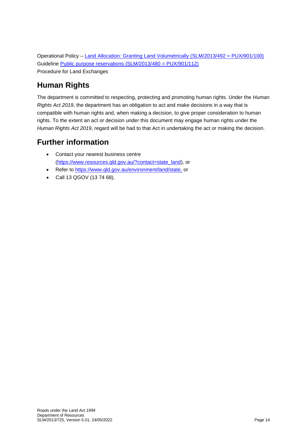Operational Policy – [Land Allocation: Granting Land Volumetrically \(SLM/2013/492 = PUX/901/100\)](https://www.resources.qld.gov.au/?a=109113:policy_registry/granting-land-volumetrically.pdf&ver=2.05) Guideline [Public purpose reservations \(SLM/2013/480 = PUX/901/112\)](https://www.resources.qld.gov.au/?a=109113:policy_registry/public-purpose-reservations.pdf&ver=4.00) Procedure for Land Exchanges

# <span id="page-13-0"></span>**Human Rights**

The department is committed to respecting, protecting and promoting human rights. Under the *Human Rights Act 2019*, the department has an obligation to act and make decisions in a way that is compatible with human rights and, when making a decision, to give proper consideration to human rights. To the extent an act or decision under this document may engage human rights under the *Human Rights Act 2019*, regard will be had to that Act in undertaking the act or making the decision.

# <span id="page-13-1"></span>**Further information**

- Contact your nearest business centre [\(https://www.resources.qld.gov.au/?contact=state\\_land\)](https://www.resources.qld.gov.au/?contact=state_land), or
- Refer to [https://www.qld.gov.au/environment/land/state,](https://www.qld.gov.au/environment/land/state) or
- Call 13 QGOV (13 74 68).